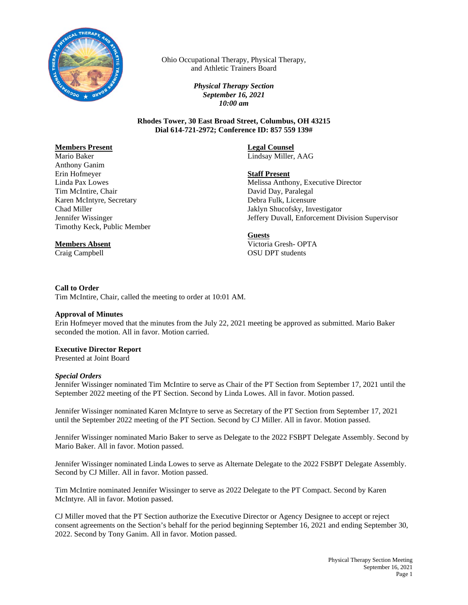

Ohio Occupational Therapy, Physical Therapy, and Athletic Trainers Board

> *Physical Therapy Section September 16, 2021 10:00 am*

**Rhodes Tower, 30 East Broad Street, Columbus, OH 43215 Dial 614-721-2972; Conference ID: 857 559 139#**

# **Members Present**

Mario Baker Anthony Ganim Erin Hofmeyer Linda Pax Lowes Tim McIntire, Chair Karen McIntyre, Secretary Chad Miller Jennifer Wissinger Timothy Keck, Public Member

## **Members Absent**

Craig Campbell

**Legal Counsel**

Lindsay Miller, AAG

## **Staff Present**

Melissa Anthony, Executive Director David Day, Paralegal Debra Fulk, Licensure Jaklyn Shucofsky, Investigator Jeffery Duvall, Enforcement Division Supervisor

#### **Guests**

Victoria Gresh- OPTA OSU DPT students

#### **Call to Order**

Tim McIntire, Chair, called the meeting to order at 10:01 AM.

#### **Approval of Minutes**

Erin Hofmeyer moved that the minutes from the July 22, 2021 meeting be approved as submitted. Mario Baker seconded the motion. All in favor. Motion carried.

### **Executive Director Report**

Presented at Joint Board

#### *Special Orders*

Jennifer Wissinger nominated Tim McIntire to serve as Chair of the PT Section from September 17, 2021 until the September 2022 meeting of the PT Section. Second by Linda Lowes. All in favor. Motion passed.

Jennifer Wissinger nominated Karen McIntyre to serve as Secretary of the PT Section from September 17, 2021 until the September 2022 meeting of the PT Section. Second by CJ Miller. All in favor. Motion passed.

Jennifer Wissinger nominated Mario Baker to serve as Delegate to the 2022 FSBPT Delegate Assembly. Second by Mario Baker. All in favor. Motion passed.

Jennifer Wissinger nominated Linda Lowes to serve as Alternate Delegate to the 2022 FSBPT Delegate Assembly. Second by CJ Miller. All in favor. Motion passed.

Tim McIntire nominated Jennifer Wissinger to serve as 2022 Delegate to the PT Compact. Second by Karen McIntyre. All in favor. Motion passed.

CJ Miller moved that the PT Section authorize the Executive Director or Agency Designee to accept or reject consent agreements on the Section's behalf for the period beginning September 16, 2021 and ending September 30, 2022. Second by Tony Ganim. All in favor. Motion passed.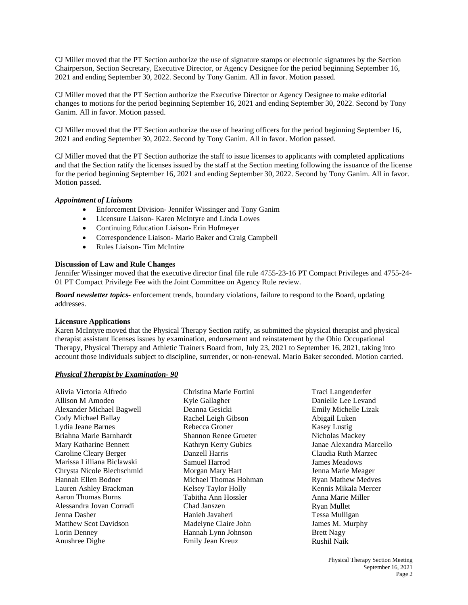CJ Miller moved that the PT Section authorize the use of signature stamps or electronic signatures by the Section Chairperson, Section Secretary, Executive Director, or Agency Designee for the period beginning September 16, 2021 and ending September 30, 2022. Second by Tony Ganim. All in favor. Motion passed.

CJ Miller moved that the PT Section authorize the Executive Director or Agency Designee to make editorial changes to motions for the period beginning September 16, 2021 and ending September 30, 2022. Second by Tony Ganim. All in favor. Motion passed.

CJ Miller moved that the PT Section authorize the use of hearing officers for the period beginning September 16, 2021 and ending September 30, 2022. Second by Tony Ganim. All in favor. Motion passed.

CJ Miller moved that the PT Section authorize the staff to issue licenses to applicants with completed applications and that the Section ratify the licenses issued by the staff at the Section meeting following the issuance of the license for the period beginning September 16, 2021 and ending September 30, 2022. Second by Tony Ganim. All in favor. Motion passed.

#### *Appointment of Liaisons*

- Enforcement Division- Jennifer Wissinger and Tony Ganim
- Licensure Liaison- Karen McIntyre and Linda Lowes
- Continuing Education Liaison- Erin Hofmeyer
- Correspondence Liaison- Mario Baker and Craig Campbell
- Rules Liaison- Tim McIntire

#### **Discussion of Law and Rule Changes**

Jennifer Wissinger moved that the executive director final file rule 4755-23-16 PT Compact Privileges and 4755-24- 01 PT Compact Privilege Fee with the Joint Committee on Agency Rule review.

*Board newsletter topics-* enforcement trends, boundary violations, failure to respond to the Board, updating addresses.

#### **Licensure Applications**

Karen McIntyre moved that the Physical Therapy Section ratify, as submitted the physical therapist and physical therapist assistant licenses issues by examination, endorsement and reinstatement by the Ohio Occupational Therapy, Physical Therapy and Athletic Trainers Board from, July 23, 2021 to September 16, 2021, taking into account those individuals subject to discipline, surrender, or non-renewal. Mario Baker seconded. Motion carried.

## *Physical Therapist by Examination- 90*

Alivia Victoria Alfredo Allison M Amodeo Alexander Michael Bagwell Cody Michael Ballay Lydia Jeane Barnes Briahna Marie Barnhardt Mary Katharine Bennett Caroline Cleary Berger Marissa Lilliana Biclawski Chrysta Nicole Blechschmid Hannah Ellen Bodner Lauren Ashley Brackman Aaron Thomas Burns Alessandra Jovan Corradi Jenna Dasher Matthew Scot Davidson Lorin Denney Anushree Dighe

Christina Marie Fortini Kyle Gallagher Deanna Gesicki Rachel Leigh Gibson Rebecca Groner Shannon Renee Grueter Kathryn Kerry Gubics Danzell Harris Samuel Harrod Morgan Mary Hart Michael Thomas Hohman Kelsey Taylor Holly Tabitha Ann Hossler Chad Janszen Hanieh Javaheri Madelyne Claire John Hannah Lynn Johnson Emily Jean Kreuz

Traci Langenderfer Danielle Lee Levand Emily Michelle Lizak Abigail Luken Kasey Lustig Nicholas Mackey Janae Alexandra Marcello Claudia Ruth Marzec James Meadows Jenna Marie Meager Ryan Mathew Medves Kennis Mikala Mercer Anna Marie Miller Ryan Mullet Tessa Mulligan James M. Murphy Brett Nagy Rushil Naik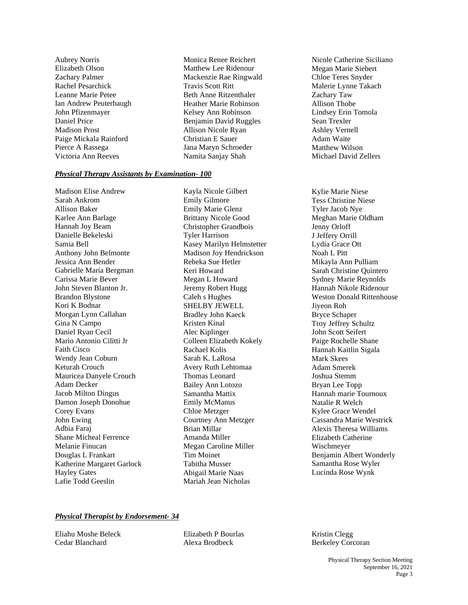Aubrey Norris Elizabeth Olson Zachary Palmer Rachel Pesarchick Leanne Marie Petee Ian Andrew Peuterbaugh John Pfizenmayer Daniel Price Madison Prost Paige Mickala Rainford Pierce A Rassega Victoria Ann Reeves

Monica Renee Reichert Matthew Lee Ridenour Mackenzie Rae Ringwald Travis Scott Ritt Beth Anne Ritzenthaler Heather Marie Robinson Kelsey Ann Robinson Benjamin David Ruggles Allison Nicole Ryan Christian E Sauer Jana Maryn Schroeder Namita Sanjay Shah

## *Physical Therapy Assistants by Examination- 100*

Madison Elise Andrew Sarah Ankrom Allison Baker Karlee Ann Barlage Hannah Joy Beam Danielle Bekeleski Samia Bell Anthony John Belmonte Jessica Ann Bender Gabrielle Maria Bergman Carissa Marie Bever John Steven Blanton Jr. Brandon Blystone Kori K Bodnar Morgan Lynn Callahan Gina N Campo Daniel Ryan Cecil Mario Antonio Cilitti Jr Faith Cisco Wendy Jean Coburn Keturah Crouch Mauricea Danyele Crouch Adam Decker Jacob Milton Dingus Damon Joseph Donohue Corey Evans John Ewing Adbia Faraj Shane Micheal Ferrence Melanie Finucan Douglas L Frankart Katherine Margaret Garlock Hayley Gates Lafie Todd Geeslin

Kayla Nicole Gilbert Emily Gilmore Emily Marie Glenz Brittany Nicole Good Christopher Grandbois Tyler Harrison Kasey Marilyn Helmstetter Madison Joy Hendrickson Rebeka Sue Hetler Keri Howard Megan L Howard Jeremy Robert Hugg Caleh s Hughes SHELBY JEWELL Bradley John Kaeck Kristen Kinal Alec Kiplinger Colleen Elizabeth Kokely Rachael Kolis Sarah K. LaRosa Avery Ruth Lehtomaa Thomas Leonard Bailey Ann Lotozo Samantha Mattix Emily McManus Chloe Metzger Courtney Ann Metzger Brian Millar Amanda Miller Megan Caroline Miller Tim Moinet Tabitha Musser Abigail Marie Naas Mariah Jean Nicholas

Nicole Catherine Siciliano Megan Marie Siebert Chloe Teres Snyder Malerie Lynne Takach Zachary Taw Allison Thobe Lindsey Erin Tomola Sean Trexler Ashley Vernell Adam Waite Matthew Wilson Michael David Zellers

Kylie Marie Niese Tess Christine Niese Tyler Jacob Nye Meghan Marie Oldham Jenny Orloff J Jeffery Orrill Lydia Grace Ott Noah L Pitt Mikayla Ann Pulliam Sarah Christine Quintero Sydney Marie Reynolds Hannah Nikole Ridenour Weston Donald Rittenhouse Jiyeon Roh Bryce Schaper Troy Jeffrey Schultz John Scott Seifert Paige Rochelle Shane Hannah Kaitlin Sigala Mark Skees Adam Smerek Joshua Stemm Bryan Lee Topp Hannah marie Tournoux Natalie R Welch Kylee Grace Wendel Cassandra Marie Westrick Alexis Theresa Williams Elizabeth Catherine Wischmeyer Benjamin Albert Wonderly Samantha Rose Wyler Lucinda Rose Wynk

## *Physical Therapist by Endorsement- 34*

Eliahu Moshe Beleck Cedar Blanchard

Elizabeth P Bourlas Alexa Brodbeck

Kristin Clegg Berkeley Corcoran

> Physical Therapy Section Meeting September 16, 2021 Page 3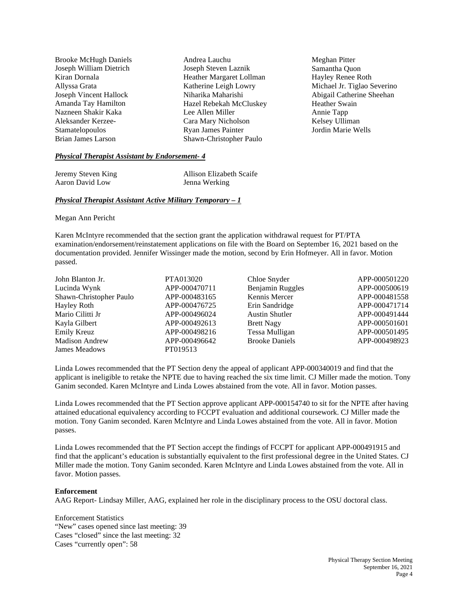| <b>Brooke McHugh Daniels</b> | Andrea Lauchu<br>Meghan Pitter                  |                             |
|------------------------------|-------------------------------------------------|-----------------------------|
| Joseph William Dietrich      | Joseph Steven Laznik                            | Samantha Quon               |
| Kiran Dornala                | Heather Margaret Lollman                        | Hayley Renee Roth           |
| Allyssa Grata                | Katherine Leigh Lowry                           | Michael Jr. Tiglao Severino |
| Joseph Vincent Hallock       | Abigail Catherine Sheehan<br>Niharika Maharishi |                             |
| Amanda Tay Hamilton          | Hazel Rebekah McCluskey                         | <b>Heather Swain</b>        |
| Nazneen Shakir Kaka          | Lee Allen Miller                                | Annie Tapp                  |
| Aleksander Kerzee-           | Cara Mary Nicholson                             | Kelsey Ulliman              |
| Stamatelopoulos              | Jordin Marie Wells<br><b>Ryan James Painter</b> |                             |
| Brian James Larson           | Shawn-Christopher Paulo                         |                             |
|                              |                                                 |                             |

## *Physical Therapist Assistant by Endorsement- 4*

| Jeremy Steven King | Allison Elizabeth Scaife |
|--------------------|--------------------------|
| Aaron David Low    | Jenna Werking            |

#### *Physical Therapist Assistant Active Military Temporary – 1*

Megan Ann Pericht

Karen McIntyre recommended that the section grant the application withdrawal request for PT/PTA examination/endorsement/reinstatement applications on file with the Board on September 16, 2021 based on the documentation provided. Jennifer Wissinger made the motion, second by Erin Hofmeyer. All in favor. Motion passed.

| John Blanton Jr.        | PTA013020     | Chloe Snyder          | APP-000501220 |
|-------------------------|---------------|-----------------------|---------------|
| Lucinda Wynk            | APP-000470711 | Benjamin Ruggles      | APP-000500619 |
| Shawn-Christopher Paulo | APP-000483165 | Kennis Mercer         | APP-000481558 |
| Hayley Roth             | APP-000476725 | Erin Sandridge        | APP-000471714 |
| Mario Cilitti Jr        | APP-000496024 | <b>Austin Shutler</b> | APP-000491444 |
| Kayla Gilbert           | APP-000492613 | <b>Brett Nagy</b>     | APP-000501601 |
| Emily Kreuz             | APP-000498216 | Tessa Mulligan        | APP-000501495 |
| <b>Madison Andrew</b>   | APP-000496642 | <b>Brooke Daniels</b> | APP-000498923 |
| James Meadows           | PT019513      |                       |               |

Linda Lowes recommended that the PT Section deny the appeal of applicant APP-000340019 and find that the applicant is ineligible to retake the NPTE due to having reached the six time limit. CJ Miller made the motion. Tony Ganim seconded. Karen McIntyre and Linda Lowes abstained from the vote. All in favor. Motion passes.

Linda Lowes recommended that the PT Section approve applicant APP-000154740 to sit for the NPTE after having attained educational equivalency according to FCCPT evaluation and additional coursework. CJ Miller made the motion. Tony Ganim seconded. Karen McIntyre and Linda Lowes abstained from the vote. All in favor. Motion passes.

Linda Lowes recommended that the PT Section accept the findings of FCCPT for applicant APP-000491915 and find that the applicant's education is substantially equivalent to the first professional degree in the United States. CJ Miller made the motion. Tony Ganim seconded. Karen McIntyre and Linda Lowes abstained from the vote. All in favor. Motion passes.

#### **Enforcement**

AAG Report- Lindsay Miller, AAG, explained her role in the disciplinary process to the OSU doctoral class.

Enforcement Statistics "New" cases opened since last meeting: 39 Cases "closed" since the last meeting: 32 Cases "currently open": 58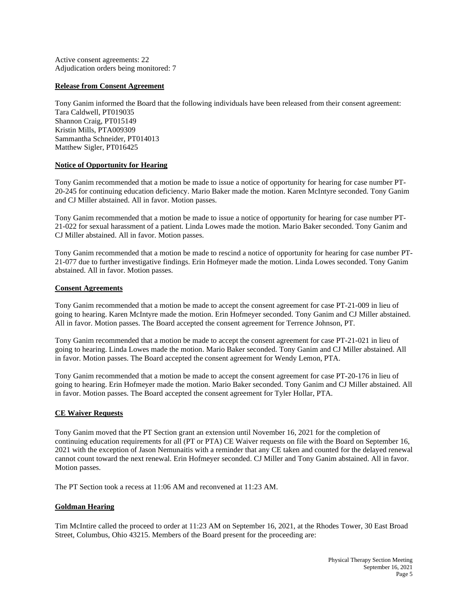Active consent agreements: 22 Adjudication orders being monitored: 7

## **Release from Consent Agreement**

Tony Ganim informed the Board that the following individuals have been released from their consent agreement: Tara Caldwell, PT019035 Shannon Craig, PT015149 Kristin Mills, PTA009309 Sammantha Schneider, PT014013 Matthew Sigler, PT016425

## **Notice of Opportunity for Hearing**

Tony Ganim recommended that a motion be made to issue a notice of opportunity for hearing for case number PT-20-245 for continuing education deficiency. Mario Baker made the motion. Karen McIntyre seconded. Tony Ganim and CJ Miller abstained. All in favor. Motion passes.

Tony Ganim recommended that a motion be made to issue a notice of opportunity for hearing for case number PT-21-022 for sexual harassment of a patient. Linda Lowes made the motion. Mario Baker seconded. Tony Ganim and CJ Miller abstained. All in favor. Motion passes.

Tony Ganim recommended that a motion be made to rescind a notice of opportunity for hearing for case number PT-21-077 due to further investigative findings. Erin Hofmeyer made the motion. Linda Lowes seconded. Tony Ganim abstained. All in favor. Motion passes.

#### **Consent Agreements**

Tony Ganim recommended that a motion be made to accept the consent agreement for case PT-21-009 in lieu of going to hearing. Karen McIntyre made the motion. Erin Hofmeyer seconded. Tony Ganim and CJ Miller abstained. All in favor. Motion passes. The Board accepted the consent agreement for Terrence Johnson, PT.

Tony Ganim recommended that a motion be made to accept the consent agreement for case PT-21-021 in lieu of going to hearing. Linda Lowes made the motion. Mario Baker seconded. Tony Ganim and CJ Miller abstained. All in favor. Motion passes. The Board accepted the consent agreement for Wendy Lemon, PTA.

Tony Ganim recommended that a motion be made to accept the consent agreement for case PT-20-176 in lieu of going to hearing. Erin Hofmeyer made the motion. Mario Baker seconded. Tony Ganim and CJ Miller abstained. All in favor. Motion passes. The Board accepted the consent agreement for Tyler Hollar, PTA.

#### **CE Waiver Requests**

Tony Ganim moved that the PT Section grant an extension until November 16, 2021 for the completion of continuing education requirements for all (PT or PTA) CE Waiver requests on file with the Board on September 16, 2021 with the exception of Jason Nemunaitis with a reminder that any CE taken and counted for the delayed renewal cannot count toward the next renewal. Erin Hofmeyer seconded. CJ Miller and Tony Ganim abstained. All in favor. Motion passes.

The PT Section took a recess at 11:06 AM and reconvened at 11:23 AM.

## **Goldman Hearing**

Tim McIntire called the proceed to order at 11:23 AM on September 16, 2021, at the Rhodes Tower, 30 East Broad Street, Columbus, Ohio 43215. Members of the Board present for the proceeding are: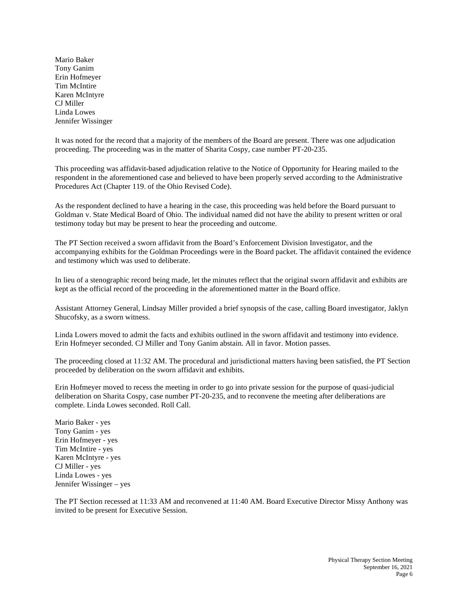Mario Baker Tony Ganim Erin Hofmeyer Tim McIntire Karen McIntyre CJ Miller Linda Lowes Jennifer Wissinger

It was noted for the record that a majority of the members of the Board are present. There was one adjudication proceeding. The proceeding was in the matter of Sharita Cospy, case number PT-20-235.

This proceeding was affidavit-based adjudication relative to the Notice of Opportunity for Hearing mailed to the respondent in the aforementioned case and believed to have been properly served according to the Administrative Procedures Act (Chapter 119. of the Ohio Revised Code).

As the respondent declined to have a hearing in the case, this proceeding was held before the Board pursuant to Goldman v. State Medical Board of Ohio. The individual named did not have the ability to present written or oral testimony today but may be present to hear the proceeding and outcome.

The PT Section received a sworn affidavit from the Board's Enforcement Division Investigator, and the accompanying exhibits for the Goldman Proceedings were in the Board packet. The affidavit contained the evidence and testimony which was used to deliberate.

In lieu of a stenographic record being made, let the minutes reflect that the original sworn affidavit and exhibits are kept as the official record of the proceeding in the aforementioned matter in the Board office.

Assistant Attorney General, Lindsay Miller provided a brief synopsis of the case, calling Board investigator, Jaklyn Shucofsky, as a sworn witness.

Linda Lowers moved to admit the facts and exhibits outlined in the sworn affidavit and testimony into evidence. Erin Hofmeyer seconded. CJ Miller and Tony Ganim abstain. All in favor. Motion passes.

The proceeding closed at 11:32 AM. The procedural and jurisdictional matters having been satisfied, the PT Section proceeded by deliberation on the sworn affidavit and exhibits.

Erin Hofmeyer moved to recess the meeting in order to go into private session for the purpose of quasi-judicial deliberation on Sharita Cospy, case number PT-20-235, and to reconvene the meeting after deliberations are complete. Linda Lowes seconded. Roll Call.

Mario Baker - yes Tony Ganim - yes Erin Hofmeyer - yes Tim McIntire - yes Karen McIntyre - yes CJ Miller - yes Linda Lowes - yes Jennifer Wissinger – yes

The PT Section recessed at 11:33 AM and reconvened at 11:40 AM. Board Executive Director Missy Anthony was invited to be present for Executive Session.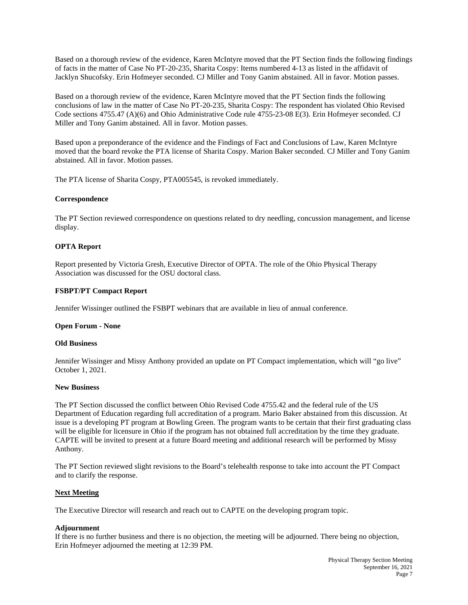Based on a thorough review of the evidence, Karen McIntyre moved that the PT Section finds the following findings of facts in the matter of Case No PT-20-235, Sharita Cospy: Items numbered 4-13 as listed in the affidavit of Jacklyn Shucofsky. Erin Hofmeyer seconded. CJ Miller and Tony Ganim abstained. All in favor. Motion passes.

Based on a thorough review of the evidence, Karen McIntyre moved that the PT Section finds the following conclusions of law in the matter of Case No PT-20-235, Sharita Cospy: The respondent has violated Ohio Revised Code sections 4755.47 (A)(6) and Ohio Administrative Code rule 4755-23-08 E(3). Erin Hofmeyer seconded. CJ Miller and Tony Ganim abstained. All in favor. Motion passes.

Based upon a preponderance of the evidence and the Findings of Fact and Conclusions of Law, Karen McIntyre moved that the board revoke the PTA license of Sharita Cospy. Marion Baker seconded. CJ Miller and Tony Ganim abstained. All in favor. Motion passes.

The PTA license of Sharita Cospy, PTA005545, is revoked immediately.

## **Correspondence**

The PT Section reviewed correspondence on questions related to dry needling, concussion management, and license display.

## **OPTA Report**

Report presented by Victoria Gresh, Executive Director of OPTA. The role of the Ohio Physical Therapy Association was discussed for the OSU doctoral class.

## **FSBPT/PT Compact Report**

Jennifer Wissinger outlined the FSBPT webinars that are available in lieu of annual conference.

#### **Open Forum - None**

#### **Old Business**

Jennifer Wissinger and Missy Anthony provided an update on PT Compact implementation, which will "go live" October 1, 2021.

#### **New Business**

The PT Section discussed the conflict between Ohio Revised Code 4755.42 and the federal rule of the US Department of Education regarding full accreditation of a program. Mario Baker abstained from this discussion. At issue is a developing PT program at Bowling Green. The program wants to be certain that their first graduating class will be eligible for licensure in Ohio if the program has not obtained full accreditation by the time they graduate. CAPTE will be invited to present at a future Board meeting and additional research will be performed by Missy Anthony.

The PT Section reviewed slight revisions to the Board's telehealth response to take into account the PT Compact and to clarify the response.

#### **Next Meeting**

The Executive Director will research and reach out to CAPTE on the developing program topic.

#### **Adjournment**

If there is no further business and there is no objection, the meeting will be adjourned. There being no objection, Erin Hofmeyer adjourned the meeting at 12:39 PM.